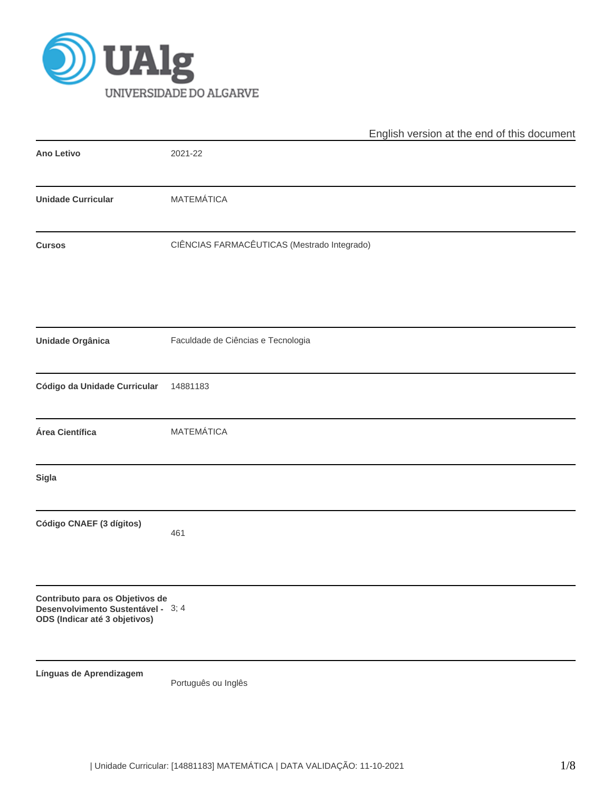

|                                                                                                        | English version at the end of this document |
|--------------------------------------------------------------------------------------------------------|---------------------------------------------|
| <b>Ano Letivo</b>                                                                                      | 2021-22                                     |
| <b>Unidade Curricular</b>                                                                              | <b>MATEMÁTICA</b>                           |
| <b>Cursos</b>                                                                                          | CIÊNCIAS FARMACÊUTICAS (Mestrado Integrado) |
| <b>Unidade Orgânica</b>                                                                                | Faculdade de Ciências e Tecnologia          |
| Código da Unidade Curricular                                                                           | 14881183                                    |
| Área Científica                                                                                        | MATEMÁTICA                                  |
| <b>Sigla</b>                                                                                           |                                             |
| Código CNAEF (3 dígitos)                                                                               | 461                                         |
| Contributo para os Objetivos de<br>Desenvolvimento Sustentável - 3; 4<br>ODS (Indicar até 3 objetivos) |                                             |
| Línguas de Aprendizagem                                                                                | Português ou Inglês                         |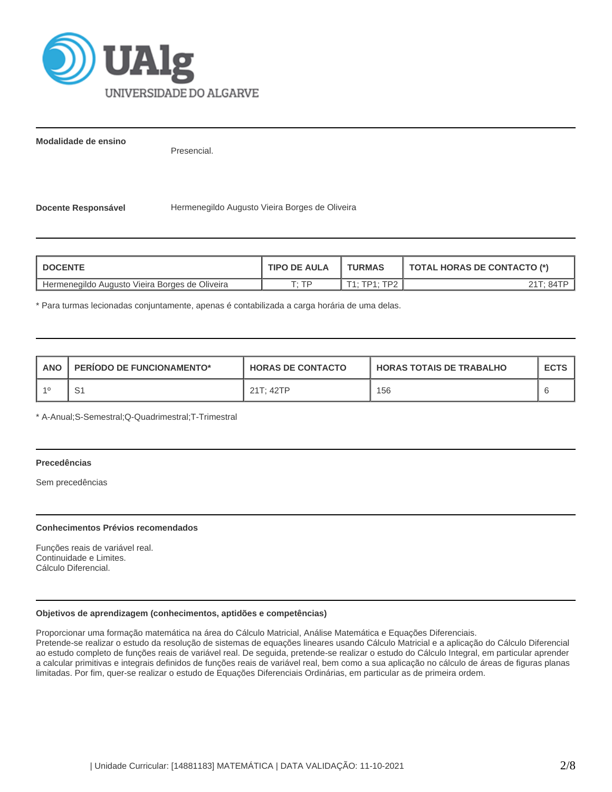

**Modalidade de ensino**

Presencial.

Docente Responsável **Hermenegildo Augusto Vieira Borges de Oliveira** 

| <b>DOCENTE</b>                                 | <b>TIPO DE AULA</b> | <b>TURMAS</b>                      | <b>TOTAL HORAS DE CONTACTO (*)</b> |
|------------------------------------------------|---------------------|------------------------------------|------------------------------------|
| Hermenegildo Augusto Vieira Borges de Oliveira | חד יד               | <b>TP?</b><br>$T4 \cdot TDA \cdot$ | 21T <sup>.</sup> 84TP              |

\* Para turmas lecionadas conjuntamente, apenas é contabilizada a carga horária de uma delas.

| <b>ANO</b> | <b>PERIODO DE FUNCIONAMENTO*</b> | <b>HORAS DE CONTACTO</b> | <b>HORAS TOTAIS DE TRABALHO</b> | <b>ECTS</b> |
|------------|----------------------------------|--------------------------|---------------------------------|-------------|
| $-40$      | ، ب                              | 21T: 42TP                | 156                             |             |

\* A-Anual;S-Semestral;Q-Quadrimestral;T-Trimestral

# **Precedências**

Sem precedências

#### **Conhecimentos Prévios recomendados**

Funções reais de variável real. Continuidade e Limites. Cálculo Diferencial.

#### **Objetivos de aprendizagem (conhecimentos, aptidões e competências)**

Proporcionar uma formação matemática na área do Cálculo Matricial, Análise Matemática e Equações Diferenciais. Pretende-se realizar o estudo da resolução de sistemas de equações lineares usando Cálculo Matricial e a aplicação do Cálculo Diferencial

ao estudo completo de funções reais de variável real. De seguida, pretende-se realizar o estudo do Cálculo Integral, em particular aprender a calcular primitivas e integrais definidos de funções reais de variável real, bem como a sua aplicação no cálculo de áreas de figuras planas limitadas. Por fim, quer-se realizar o estudo de Equações Diferenciais Ordinárias, em particular as de primeira ordem.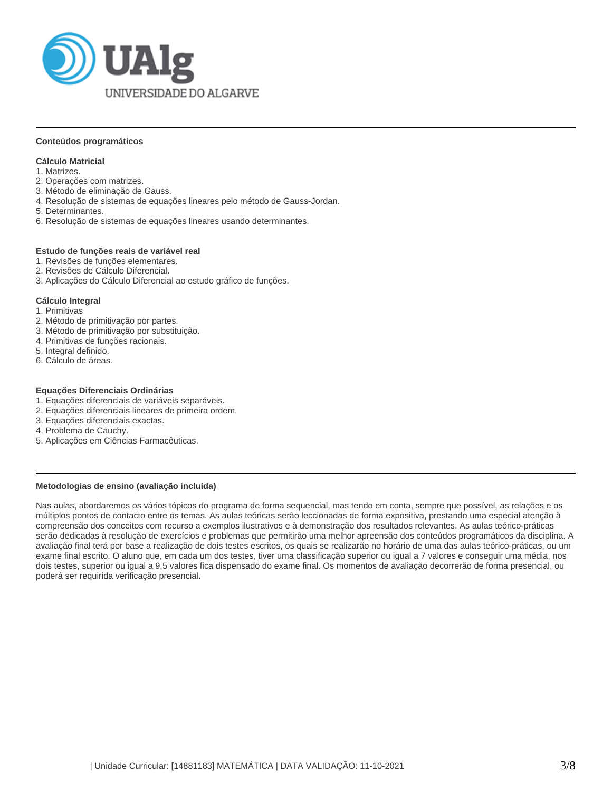

#### **Conteúdos programáticos**

## **Cálculo Matricial**

- 1. Matrizes.
- 2. Operações com matrizes.
- 3. Método de eliminação de Gauss.
- 4. Resolução de sistemas de equações lineares pelo método de Gauss-Jordan.
- 5. Determinantes.
- 6. Resolução de sistemas de equações lineares usando determinantes.

#### **Estudo de funções reais de variável real**

- 1. Revisões de funções elementares.
- 2. Revisões de Cálculo Diferencial.
- 3. Aplicações do Cálculo Diferencial ao estudo gráfico de funções.

#### **Cálculo Integral**

- 1. Primitivas
- 2. Método de primitivação por partes.
- 3. Método de primitivação por substituição.
- 4. Primitivas de funções racionais.
- 5. Integral definido.
- 6. Cálculo de áreas.

#### **Equações Diferenciais Ordinárias**

- 1. Equações diferenciais de variáveis separáveis.
- 2. Equações diferenciais lineares de primeira ordem.
- 3. Equações diferenciais exactas.
- 4. Problema de Cauchy.
- 5. Aplicações em Ciências Farmacêuticas.

#### **Metodologias de ensino (avaliação incluída)**

Nas aulas, abordaremos os vários tópicos do programa de forma sequencial, mas tendo em conta, sempre que possível, as relações e os múltiplos pontos de contacto entre os temas. As aulas teóricas serão leccionadas de forma expositiva, prestando uma especial atenção à compreensão dos conceitos com recurso a exemplos ilustrativos e à demonstração dos resultados relevantes. As aulas teórico-práticas serão dedicadas à resolução de exercícios e problemas que permitirão uma melhor apreensão dos conteúdos programáticos da disciplina. A avaliação final terá por base a realização de dois testes escritos, os quais se realizarão no horário de uma das aulas teórico-práticas, ou um exame final escrito. O aluno que, em cada um dos testes, tiver uma classificação superior ou igual a 7 valores e conseguir uma média, nos dois testes, superior ou igual a 9,5 valores fica dispensado do exame final. Os momentos de avaliação decorrerão de forma presencial, ou poderá ser requirida verificação presencial.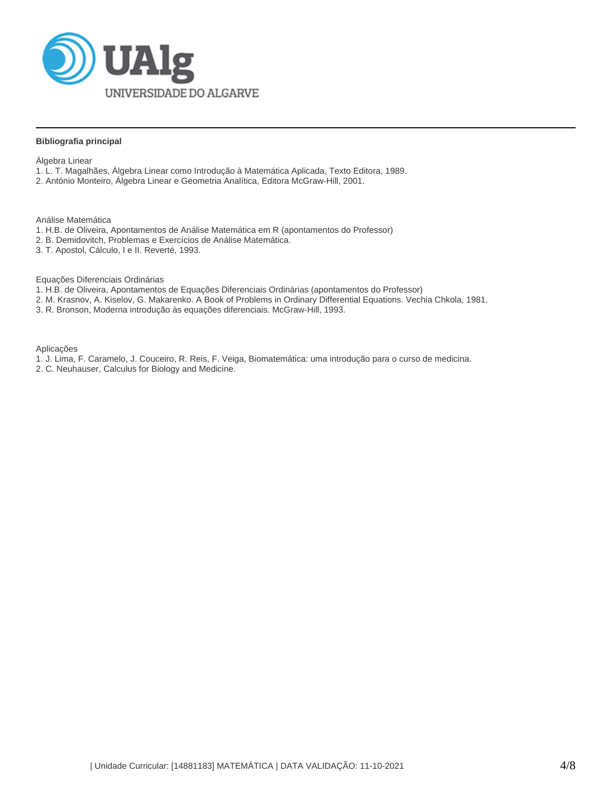

### **Bibliografia principal**

Álgebra Linear

- 1. L. T. Magalhães, Álgebra Linear como Introdução à Matemática Aplicada, Texto Editora, 1989.
- 2. António Monteiro, Álgebra Linear e Geometria Analítica, Editora McGraw-Hill, 2001.

Análise Matemática

- 1. H.B. de Oliveira, Apontamentos de Análise Matemática em R (apontamentos do Professor)
- 2. B. Demidovitch, Problemas e Exercícios de Análise Matemática.
- 3. T. Apostol, Cálculo, I e II. Reverté, 1993.

Equações Diferenciais Ordinárias

- 1. H.B. de Oliveira, Apontamentos de Equações Diferenciais Ordinárias (apontamentos do Professor)
- 2. M. Krasnov, A. Kiselov, G. Makarenko. A Book of Problems in Ordinary Differential Equations. Vechia Chkola, 1981.
- 3. R. Bronson, Moderna introdução às equações diferenciais. McGraw-Hill, 1993.

Aplicações

- 1. J. Lima, F. Caramelo, J. Couceiro, R. Reis, F. Veiga, Biomatemática: uma introdução para o curso de medicina.
- 2. C. Neuhauser, Calculus for Biology and Medicine.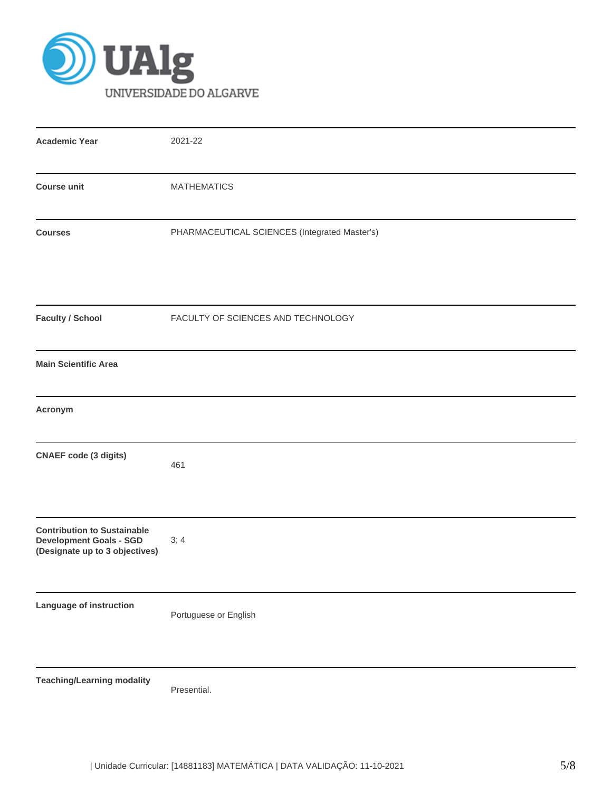

| <b>Academic Year</b>                                                                                   | 2021-22                                       |
|--------------------------------------------------------------------------------------------------------|-----------------------------------------------|
| <b>Course unit</b>                                                                                     | <b>MATHEMATICS</b>                            |
| <b>Courses</b>                                                                                         | PHARMACEUTICAL SCIENCES (Integrated Master's) |
| <b>Faculty / School</b>                                                                                | FACULTY OF SCIENCES AND TECHNOLOGY            |
| <b>Main Scientific Area</b>                                                                            |                                               |
| Acronym                                                                                                |                                               |
| <b>CNAEF code (3 digits)</b>                                                                           | 461                                           |
| <b>Contribution to Sustainable</b><br><b>Development Goals - SGD</b><br>(Designate up to 3 objectives) | 3; 4                                          |
| Language of instruction                                                                                | Portuguese or English                         |
| <b>Teaching/Learning modality</b>                                                                      | Presential.                                   |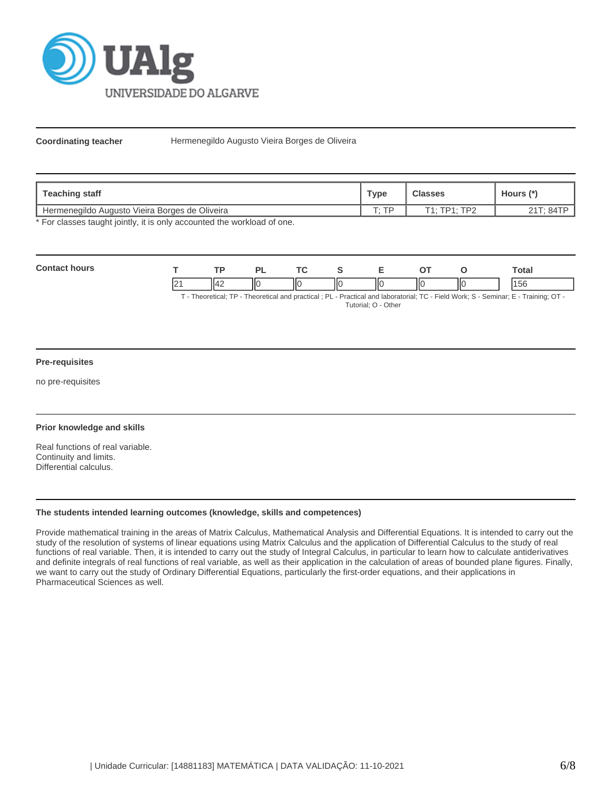

**Coordinating teacher** Hermenegildo Augusto Vieira Borges de Oliveira

| Teaching staff                                 | Type  | <b>Classes</b> | Hours (*  |
|------------------------------------------------|-------|----------------|-----------|
| Hermenegildo Augusto Vieira Borges de Oliveira | ். TD | T1: TP1: TP2   | 21T: 84TP |

\* For classes taught jointly, it is only accounted the workload of one.

| Con |   | $\overline{\mathbf{r}}$ |    | <u>те</u> |    |    |    | otal |
|-----|---|-------------------------|----|-----------|----|----|----|------|
|     | └ |                         | ١К | Ш         | ШC | IЮ | ШΟ |      |

T - Theoretical; TP - Theoretical and practical ; PL - Practical and laboratorial; TC - Field Work; S - Seminar; E - Training; OT - Tutorial; O - Other

#### **Pre-requisites**

no pre-requisites

## **Prior knowledge and skills**

Real functions of real variable. Continuity and limits. Differential calculus.

#### **The students intended learning outcomes (knowledge, skills and competences)**

Provide mathematical training in the areas of Matrix Calculus, Mathematical Analysis and Differential Equations. It is intended to carry out the study of the resolution of systems of linear equations using Matrix Calculus and the application of Differential Calculus to the study of real functions of real variable. Then, it is intended to carry out the study of Integral Calculus, in particular to learn how to calculate antiderivatives and definite integrals of real functions of real variable, as well as their application in the calculation of areas of bounded plane figures. Finally, we want to carry out the study of Ordinary Differential Equations, particularly the first-order equations, and their applications in Pharmaceutical Sciences as well.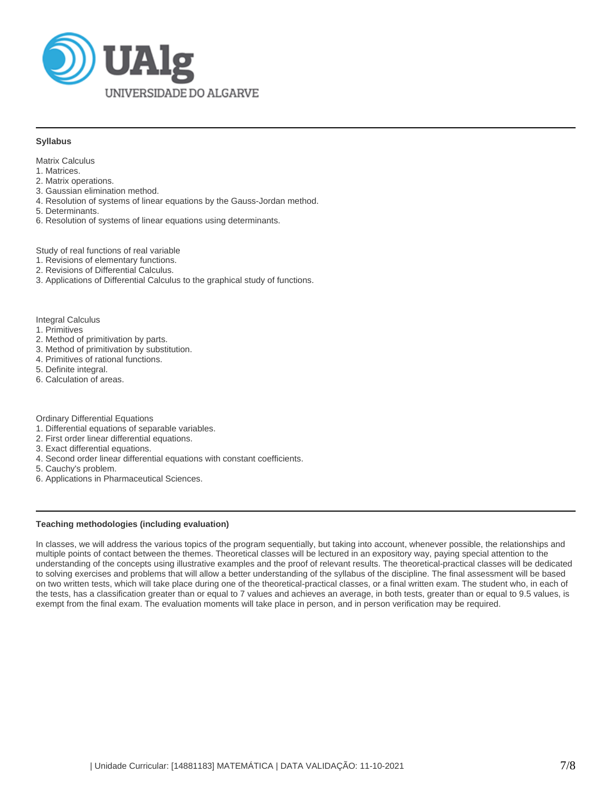

#### **Syllabus**

Matrix Calculus

- 1. Matrices.
- 2. Matrix operations.
- 3. Gaussian elimination method.
- 4. Resolution of systems of linear equations by the Gauss-Jordan method.
- 5. Determinants.
- 6. Resolution of systems of linear equations using determinants.

Study of real functions of real variable

- 1. Revisions of elementary functions.
- 2. Revisions of Differential Calculus.
- 3. Applications of Differential Calculus to the graphical study of functions.

Integral Calculus

- 1. Primitives
- 2. Method of primitivation by parts.
- 3. Method of primitivation by substitution.
- 4. Primitives of rational functions.
- 5. Definite integral.
- 6. Calculation of areas.

Ordinary Differential Equations

- 1. Differential equations of separable variables.
- 2. First order linear differential equations.
- 3. Exact differential equations.
- 4. Second order linear differential equations with constant coefficients.

5. Cauchy's problem.

6. Applications in Pharmaceutical Sciences.

#### **Teaching methodologies (including evaluation)**

In classes, we will address the various topics of the program sequentially, but taking into account, whenever possible, the relationships and multiple points of contact between the themes. Theoretical classes will be lectured in an expository way, paying special attention to the understanding of the concepts using illustrative examples and the proof of relevant results. The theoretical-practical classes will be dedicated to solving exercises and problems that will allow a better understanding of the syllabus of the discipline. The final assessment will be based on two written tests, which will take place during one of the theoretical-practical classes, or a final written exam. The student who, in each of the tests, has a classification greater than or equal to 7 values and achieves an average, in both tests, greater than or equal to 9.5 values, is exempt from the final exam. The evaluation moments will take place in person, and in person verification may be required.